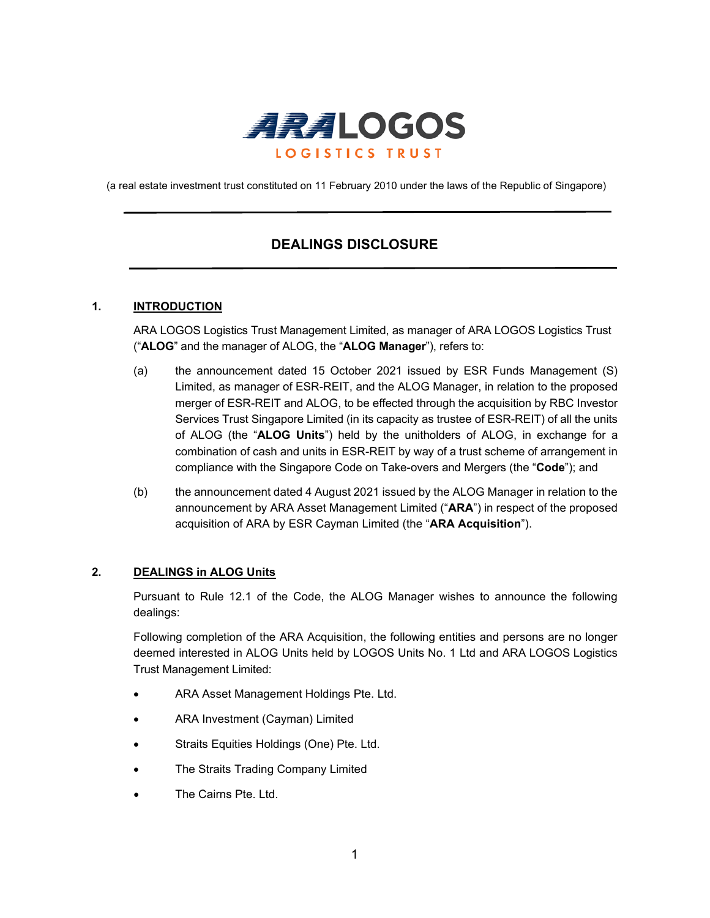

(a real estate investment trust constituted on 11 February 2010 under the laws of the Republic of Singapore)

# **DEALINGS DISCLOSURE**

# **1. INTRODUCTION**

ARA LOGOS Logistics Trust Management Limited, as manager of ARA LOGOS Logistics Trust ("**ALOG**" and the manager of ALOG, the "**ALOG Manager**"), refers to:

- (a) the announcement dated 15 October 2021 issued by ESR Funds Management (S) Limited, as manager of ESR-REIT, and the ALOG Manager, in relation to the proposed merger of ESR-REIT and ALOG, to be effected through the acquisition by RBC Investor Services Trust Singapore Limited (in its capacity as trustee of ESR-REIT) of all the units of ALOG (the "**ALOG Units**") held by the unitholders of ALOG, in exchange for a combination of cash and units in ESR-REIT by way of a trust scheme of arrangement in compliance with the Singapore Code on Take-overs and Mergers (the "**Code**"); and
- (b) the announcement dated 4 August 2021 issued by the ALOG Manager in relation to the announcement by ARA Asset Management Limited ("**ARA**") in respect of the proposed acquisition of ARA by ESR Cayman Limited (the "**ARA Acquisition**").

## **2. DEALINGS in ALOG Units**

Pursuant to Rule 12.1 of the Code, the ALOG Manager wishes to announce the following dealings:

Following completion of the ARA Acquisition, the following entities and persons are no longer deemed interested in ALOG Units held by LOGOS Units No. 1 Ltd and ARA LOGOS Logistics Trust Management Limited:

- ARA Asset Management Holdings Pte. Ltd.
- ARA Investment (Cayman) Limited
- Straits Equities Holdings (One) Pte. Ltd.
- The Straits Trading Company Limited
- The Cairns Pte. Ltd.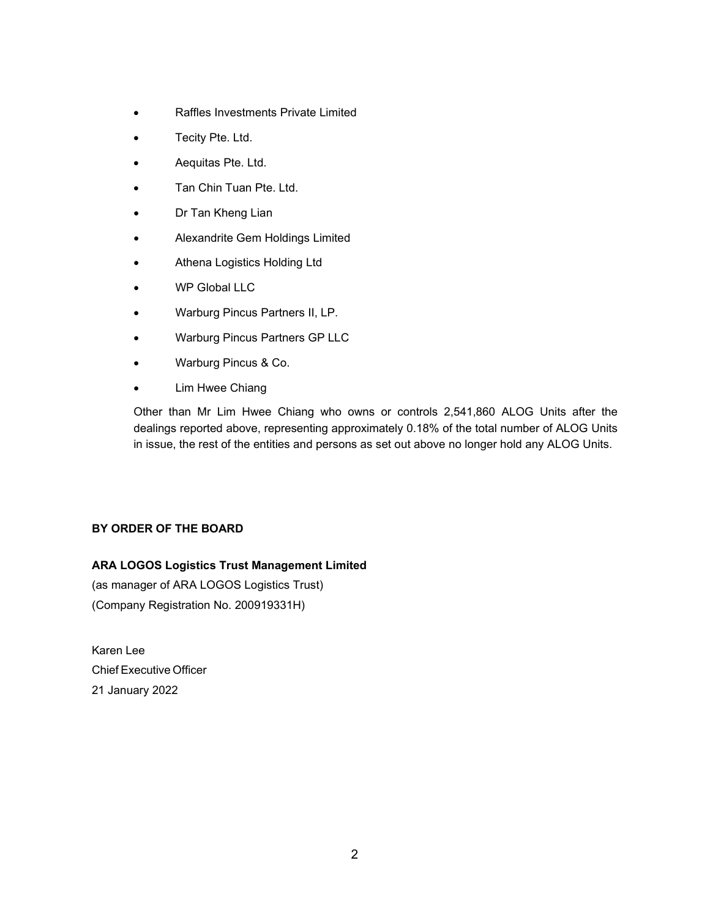- Raffles Investments Private Limited
- Tecity Pte. Ltd.
- Aequitas Pte. Ltd.
- Tan Chin Tuan Pte. Ltd.
- Dr Tan Kheng Lian
- Alexandrite Gem Holdings Limited
- Athena Logistics Holding Ltd
- WP Global LLC
- Warburg Pincus Partners II, LP.
- Warburg Pincus Partners GP LLC
- Warburg Pincus & Co.
- Lim Hwee Chiang

Other than Mr Lim Hwee Chiang who owns or controls 2,541,860 ALOG Units after the dealings reported above, representing approximately 0.18% of the total number of ALOG Units in issue, the rest of the entities and persons as set out above no longer hold any ALOG Units.

# **BY ORDER OF THE BOARD**

# **ARA LOGOS Logistics Trust Management Limited**

(as manager of ARA LOGOS Logistics Trust) (Company Registration No. 200919331H)

Karen Lee Chief Executive Officer 21 January 2022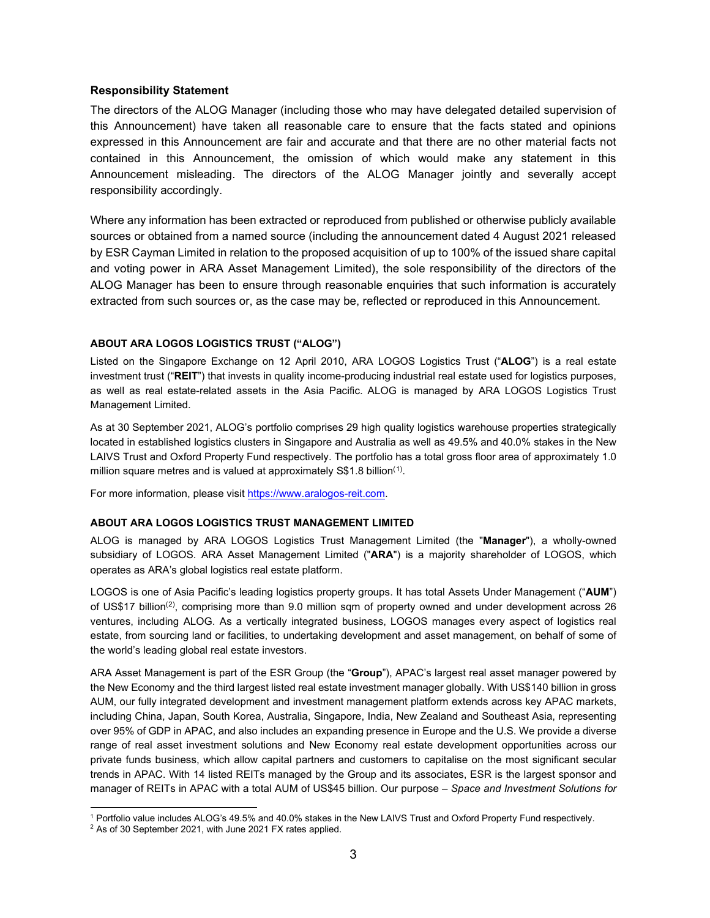## **Responsibility Statement**

The directors of the ALOG Manager (including those who may have delegated detailed supervision of this Announcement) have taken all reasonable care to ensure that the facts stated and opinions expressed in this Announcement are fair and accurate and that there are no other material facts not contained in this Announcement, the omission of which would make any statement in this Announcement misleading. The directors of the ALOG Manager jointly and severally accept responsibility accordingly.

Where any information has been extracted or reproduced from published or otherwise publicly available sources or obtained from a named source (including the announcement dated 4 August 2021 released by ESR Cayman Limited in relation to the proposed acquisition of up to 100% of the issued share capital and voting power in ARA Asset Management Limited), the sole responsibility of the directors of the ALOG Manager has been to ensure through reasonable enquiries that such information is accurately extracted from such sources or, as the case may be, reflected or reproduced in this Announcement.

#### **ABOUT ARA LOGOS LOGISTICS TRUST ("ALOG")**

Listed on the Singapore Exchange on 12 April 2010, ARA LOGOS Logistics Trust ("**ALOG**") is a real estate investment trust ("**REIT**") that invests in quality income-producing industrial real estate used for logistics purposes, as well as real estate-related assets in the Asia Pacific. ALOG is managed by ARA LOGOS Logistics Trust Management Limited.

As at 30 September 2021, ALOG's portfolio comprises 29 high quality logistics warehouse properties strategically located in established logistics clusters in Singapore and Australia as well as 49.5% and 40.0% stakes in the New LAIVS Trust and Oxford Property Fund respectively. The portfolio has a total gross floor area of approximately 1.0 million square metres and is valued at approximately S\$[1](#page-2-0).8 billion $^{\left(1\right)}$ .

For more information, please visit https://www.aralogos-reit.com.

#### **ABOUT ARA LOGOS LOGISTICS TRUST MANAGEMENT LIMITED**

ALOG is managed by ARA LOGOS Logistics Trust Management Limited (the "**Manager**"), a wholly-owned subsidiary of LOGOS. ARA Asset Management Limited ("**ARA**") is a majority shareholder of LOGOS, which operates as ARA's global logistics real estate platform.

LOGOS is one of Asia Pacific's leading logistics property groups. It has total Assets Under Management ("**AUM**") of US\$17 billion<sup>[\(2\)](#page-2-1)</sup>, comprising more than 9.0 million sqm of property owned and under development across 26 ventures, including ALOG. As a vertically integrated business, LOGOS manages every aspect of logistics real estate, from sourcing land or facilities, to undertaking development and asset management, on behalf of some of the world's leading global real estate investors.

ARA Asset Management is part of the ESR Group (the "**Group**"), APAC's largest real asset manager powered by the New Economy and the third largest listed real estate investment manager globally. With US\$140 billion in gross AUM, our fully integrated development and investment management platform extends across key APAC markets, including China, Japan, South Korea, Australia, Singapore, India, New Zealand and Southeast Asia, representing over 95% of GDP in APAC, and also includes an expanding presence in Europe and the U.S. We provide a diverse range of real asset investment solutions and New Economy real estate development opportunities across our private funds business, which allow capital partners and customers to capitalise on the most significant secular trends in APAC. With 14 listed REITs managed by the Group and its associates, ESR is the largest sponsor and manager of REITs in APAC with a total AUM of US\$45 billion. Our purpose – *Space and Investment Solutions for* 

<span id="page-2-0"></span><sup>1</sup> Portfolio value includes ALOG's 49.5% and 40.0% stakes in the New LAIVS Trust and Oxford Property Fund respectively.

<span id="page-2-1"></span><sup>2</sup> As of 30 September 2021, with June 2021 FX rates applied.